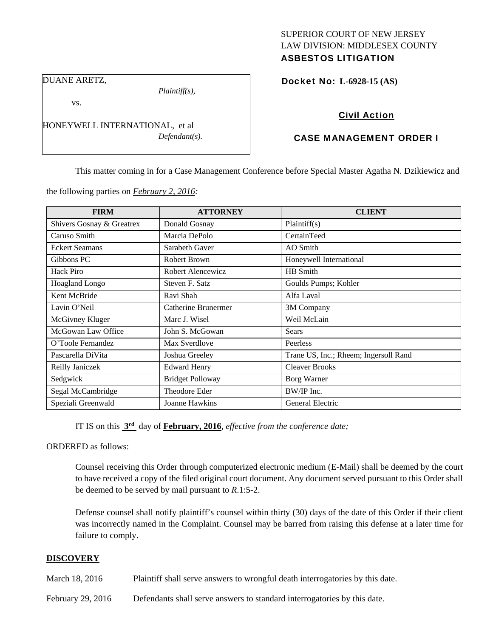## SUPERIOR COURT OF NEW JERSEY LAW DIVISION: MIDDLESEX COUNTY ASBESTOS LITIGATION

DUANE ARETZ,

*Plaintiff(s),* 

Docket No: **L-6928-15 (AS)** 

vs.

HONEYWELL INTERNATIONAL, et al *Defendant(s).* 

## Civil Action

# CASE MANAGEMENT ORDER I

This matter coming in for a Case Management Conference before Special Master Agatha N. Dzikiewicz and

the following parties on *February 2, 2016:* 

| <b>FIRM</b>               | <b>ATTORNEY</b>         | <b>CLIENT</b>                         |
|---------------------------|-------------------------|---------------------------------------|
| Shivers Gosnay & Greatrex | Donald Gosnay           | Plaintiff(s)                          |
| Caruso Smith              | Marcia DePolo           | CertainTeed                           |
| <b>Eckert Seamans</b>     | Sarabeth Gaver          | AO Smith                              |
| Gibbons PC                | Robert Brown            | Honeywell International               |
| Hack Piro                 | Robert Alencewicz       | HB Smith                              |
| Hoagland Longo            | Steven F. Satz          | Goulds Pumps; Kohler                  |
| Kent McBride              | Ravi Shah               | Alfa Laval                            |
| Lavin O'Neil              | Catherine Brunermer     | 3M Company                            |
| McGivney Kluger           | Marc J. Wisel           | Weil McLain                           |
| McGowan Law Office        | John S. McGowan         | Sears                                 |
| O'Toole Fernandez         | Max Sverdlove           | Peerless                              |
| Pascarella DiVita         | Joshua Greeley          | Trane US, Inc.; Rheem; Ingersoll Rand |
| Reilly Janiczek           | <b>Edward Henry</b>     | <b>Cleaver Brooks</b>                 |
| Sedgwick                  | <b>Bridget Polloway</b> | Borg Warner                           |
| Segal McCambridge         | Theodore Eder           | BW/IP Inc.                            |
| Speziali Greenwald        | <b>Joanne Hawkins</b>   | General Electric                      |

IT IS on this **3rd** day of **February, 2016**, *effective from the conference date;*

ORDERED as follows:

Counsel receiving this Order through computerized electronic medium (E-Mail) shall be deemed by the court to have received a copy of the filed original court document. Any document served pursuant to this Order shall be deemed to be served by mail pursuant to *R*.1:5-2.

Defense counsel shall notify plaintiff's counsel within thirty (30) days of the date of this Order if their client was incorrectly named in the Complaint. Counsel may be barred from raising this defense at a later time for failure to comply.

### **DISCOVERY**

March 18, 2016 Plaintiff shall serve answers to wrongful death interrogatories by this date.

February 29, 2016 Defendants shall serve answers to standard interrogatories by this date.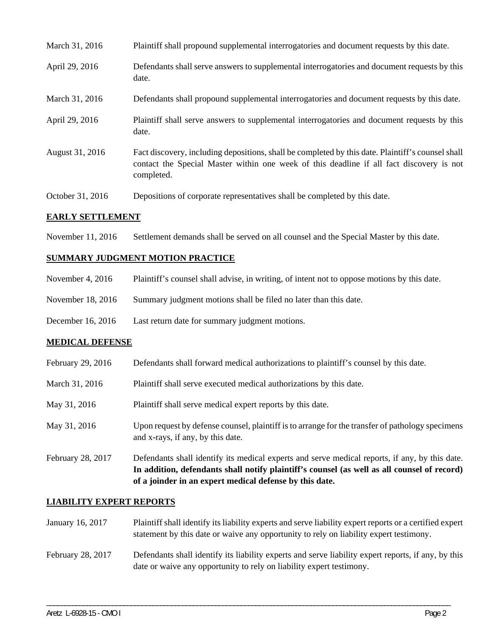| March 31, 2016   | Plaintiff shall propound supplemental interrogatories and document requests by this date.                                                                                                                   |
|------------------|-------------------------------------------------------------------------------------------------------------------------------------------------------------------------------------------------------------|
| April 29, 2016   | Defendants shall serve answers to supplemental interrogatories and document requests by this<br>date.                                                                                                       |
| March 31, 2016   | Defendants shall propound supplemental interrogatories and document requests by this date.                                                                                                                  |
| April 29, 2016   | Plaintiff shall serve answers to supplemental interrogatories and document requests by this<br>date.                                                                                                        |
| August 31, 2016  | Fact discovery, including depositions, shall be completed by this date. Plaintiff's counsel shall<br>contact the Special Master within one week of this deadline if all fact discovery is not<br>completed. |
| October 31, 2016 | Depositions of corporate representatives shall be completed by this date.                                                                                                                                   |

#### **EARLY SETTLEMENT**

November 11, 2016 Settlement demands shall be served on all counsel and the Special Master by this date.

## **SUMMARY JUDGMENT MOTION PRACTICE**

| November 4, $2016$ | Plaintiff's counsel shall advise, in writing, of intent not to oppose motions by this date. |  |  |  |
|--------------------|---------------------------------------------------------------------------------------------|--|--|--|
|--------------------|---------------------------------------------------------------------------------------------|--|--|--|

- November 18, 2016 Summary judgment motions shall be filed no later than this date.
- December 16, 2016 Last return date for summary judgment motions.

#### **MEDICAL DEFENSE**

| February 29, 2016 | Defendants shall forward medical authorizations to plaintiff's counsel by this date.                                                                                                          |
|-------------------|-----------------------------------------------------------------------------------------------------------------------------------------------------------------------------------------------|
| March 31, 2016    | Plaintiff shall serve executed medical authorizations by this date.                                                                                                                           |
| May 31, 2016      | Plaintiff shall serve medical expert reports by this date.                                                                                                                                    |
| May 31, 2016      | Upon request by defense counsel, plaintiff is to arrange for the transfer of pathology specimens<br>and x-rays, if any, by this date.                                                         |
| February 28, 2017 | Defendants shall identify its medical experts and serve medical reports, if any, by this date.<br>In addition, defendants shall notify plaintiff's counsel (as well as all counsel of record) |

**of a joinder in an expert medical defense by this date.** 

## **LIABILITY EXPERT REPORTS**

| January 16, 2017 | Plaintiff shall identify its liability experts and serve liability expert reports or a certified expert |
|------------------|---------------------------------------------------------------------------------------------------------|
|                  | statement by this date or waive any opportunity to rely on liability expert testimony.                  |

February 28, 2017 Defendants shall identify its liability experts and serve liability expert reports, if any, by this date or waive any opportunity to rely on liability expert testimony.

\_\_\_\_\_\_\_\_\_\_\_\_\_\_\_\_\_\_\_\_\_\_\_\_\_\_\_\_\_\_\_\_\_\_\_\_\_\_\_\_\_\_\_\_\_\_\_\_\_\_\_\_\_\_\_\_\_\_\_\_\_\_\_\_\_\_\_\_\_\_\_\_\_\_\_\_\_\_\_\_\_\_\_\_\_\_\_\_\_\_\_\_\_\_\_\_\_\_\_\_\_\_\_\_\_\_\_\_\_\_